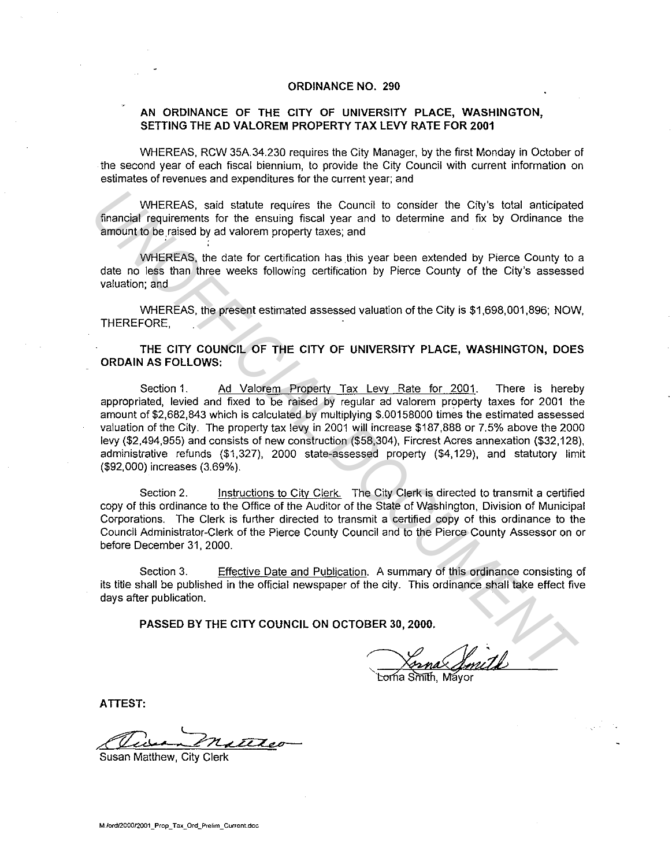## **ORDINANCE NO. 290**

## **AN ORDINANCE OF THE CITY OF UNIVERSITY PLACE, WASHINGTON, SETTING THE AD VALOREM PROPERTY TAX LEVY RATE FOR 2001**

WHEREAS. RCW 35A.34.230 requires the City Manager, by the first Monday in October of the second year of each fiscal biennium, to provide the City Council with current information on estimates of revenues and expenditures for the current year; and

WHEREAS, said statute requires the Council to consider the City's total anticipated financial requirements for the ensuing fiscal year and to determine and fix by Ordinance the amount to be raised by ad valorem property taxes; and

WHEREAS, the date for certification has this year been extended by Pierce County to a date no less than three weeks following certification by Pierce County of the City's assessed valuation; and

WHEREAS, the present estimated assessed valuation of the City is \$1,698,001,896; NOW. THEREFORE.

**THE CITY COUNCIL OF THE CITY OF UNIVERSITY PLACE, WASHINGTON, DOES ORDAIN AS FOLLOWS:** 

Section 1. Ad Valorem Property Tax Levy Rate for 2001. There is hereby appropriated, levied and fixed to be raised by regular ad valorem property taxes for 2001 the amount of \$2,682,843 which is calculated by multiplying \$.00158000 times the estimated assessed valuation of the City. The property tax levy in 2001 **will** increase \$187,888 or 7.5% above the 2000 levy (\$2,494,955) and consists of new construction (\$58,304), Fircrest Acres annexation (\$32, 128). administrative refunds (\$1,327). 2000 state-assessed property (\$4, 129), and statutory limit (\$92,000) increases (3.69%). WHEREAS, said statute requires the Council to consider the City's total anticipate<br>amount requirements for the ensuing fiscal year and to determine and fix by Ordinance the<br>amount to be raised by advatorem property taxes;

Section 2. Instructions to Citv Clerk. The City Clerk is directed to transmit a certified copy of this ordinance to the Office of the Auditor of the State of Washington, Division of Municipal Corporations. The Clerk is further directed to transmit a certified copy of this ordinance to the Council Administrator-Clerk of the Pierce County Council and to the Pierce County Assessor on or before December 31, 2000.

Section 3. Effective Date and Publication. A summary of this ordinance consisting of its title shall be published in the official newspaper of the city. This ordinance shall take effect five days after publication.

**PASSED BY THE CITY COUNCIL ON OCTOBER 30, 2000.** 

orna Smith. Mavor

**ATTEST:** 

Susan Matthew, City Clerk